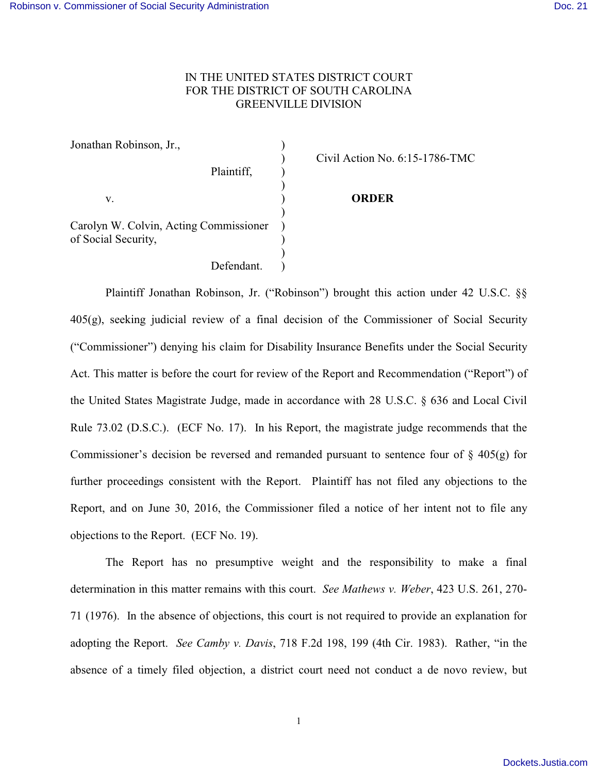## IN THE UNITED STATES DISTRICT COURT FOR THE DISTRICT OF SOUTH CAROLINA GREENVILLE DIVISION

| Jonathan Robinson, Jr.,                                       |                                |
|---------------------------------------------------------------|--------------------------------|
| Plaintiff,                                                    | Civil Action No. 6:15-1786-TMC |
| v.                                                            | <b>ORDER</b>                   |
| Carolyn W. Colvin, Acting Commissioner<br>of Social Security, |                                |
| Defendant.                                                    |                                |

Plaintiff Jonathan Robinson, Jr. ("Robinson") brought this action under 42 U.S.C. §§  $405(g)$ , seeking judicial review of a final decision of the Commissioner of Social Security ("Commissioner") denying his claim for Disability Insurance Benefits under the Social Security Act. This matter is before the court for review of the Report and Recommendation ("Report") of the United States Magistrate Judge, made in accordance with 28 U.S.C. § 636 and Local Civil Rule 73.02 (D.S.C.). (ECF No. 17). In his Report, the magistrate judge recommends that the Commissioner's decision be reversed and remanded pursuant to sentence four of  $\S$  405(g) for further proceedings consistent with the Report. Plaintiff has not filed any objections to the Report, and on June 30, 2016, the Commissioner filed a notice of her intent not to file any objections to the Report. (ECF No. 19).

The Report has no presumptive weight and the responsibility to make a final determination in this matter remains with this court. *See Mathews v. Weber*, 423 U.S. 261, 270- 71 (1976). In the absence of objections, this court is not required to provide an explanation for adopting the Report. *See Camby v. Davis*, 718 F.2d 198, 199 (4th Cir. 1983). Rather, "in the absence of a timely filed objection, a district court need not conduct a de novo review, but